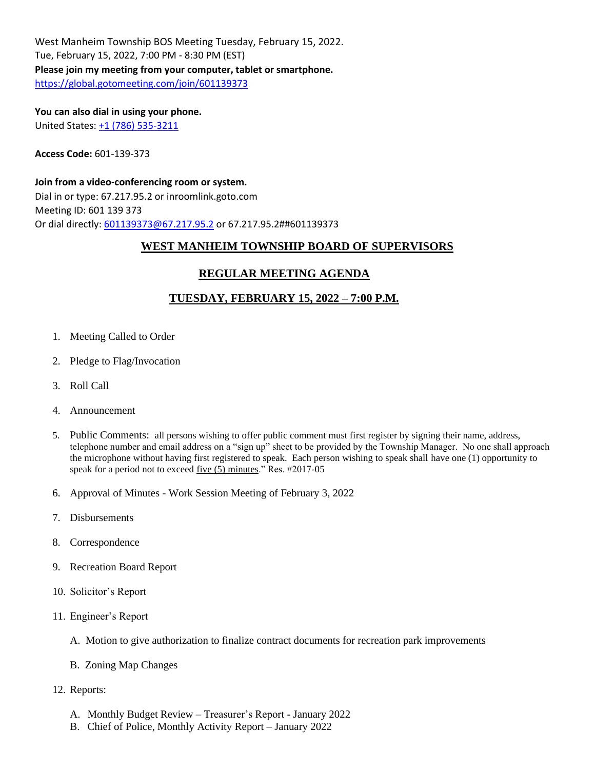West Manheim Township BOS Meeting Tuesday, February 15, 2022. Tue, February 15, 2022, 7:00 PM - 8:30 PM (EST) **Please join my meeting from your computer, tablet or smartphone.** <https://global.gotomeeting.com/join/601139373>

**You can also dial in using your phone.** United States[: +1 \(786\) 535-3211](tel:+17865353211,,601139373)

**Access Code:** 601-139-373

**Join from a video-conferencing room or system.** Dial in or type: 67.217.95.2 or inroomlink.goto.com Meeting ID: 601 139 373 Or dial directly: [601139373@67.217.95.2](mailto:601139373@67.217.95.2) or 67.217.95.2##601139373

#### **WEST MANHEIM TOWNSHIP BOARD OF SUPERVISORS**

#### **REGULAR MEETING AGENDA**

### **TUESDAY, FEBRUARY 15, 2022 – 7:00 P.M.**

- 1. Meeting Called to Order
- 2. Pledge to Flag/Invocation
- 3. Roll Call
- 4. Announcement
- 5. Public Comments: all persons wishing to offer public comment must first register by signing their name, address, telephone number and email address on a "sign up" sheet to be provided by the Township Manager. No one shall approach the microphone without having first registered to speak. Each person wishing to speak shall have one (1) opportunity to speak for a period not to exceed five (5) minutes." Res. #2017-05
- 6. Approval of Minutes Work Session Meeting of February 3, 2022
- 7. Disbursements
- 8. Correspondence
- 9. Recreation Board Report
- 10. Solicitor's Report
- 11. Engineer's Report
	- A. Motion to give authorization to finalize contract documents for recreation park improvements
	- B. Zoning Map Changes
- 12. Reports:
	- A. Monthly Budget Review Treasurer's Report January 2022
	- B. Chief of Police, Monthly Activity Report January 2022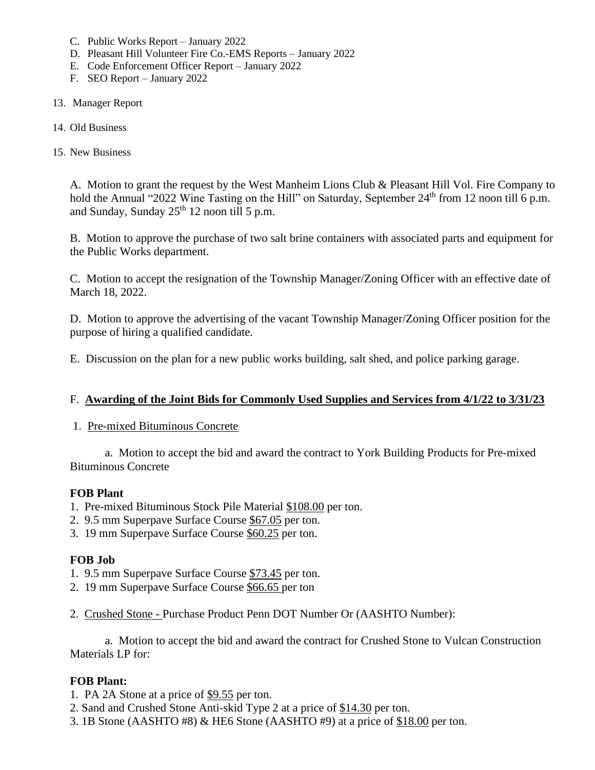- C. Public Works Report January 2022
- D. Pleasant Hill Volunteer Fire Co.-EMS Reports January 2022
- E. Code Enforcement Officer Report January 2022
- F. SEO Report January 2022
- 13. Manager Report
- 14. Old Business
- 15. New Business

A. Motion to grant the request by the West Manheim Lions Club & Pleasant Hill Vol. Fire Company to hold the Annual "2022 Wine Tasting on the Hill" on Saturday, September 24<sup>th</sup> from 12 noon till 6 p.m. and Sunday, Sunday  $25<sup>th</sup> 12$  noon till 5 p.m.

B. Motion to approve the purchase of two salt brine containers with associated parts and equipment for the Public Works department.

C. Motion to accept the resignation of the Township Manager/Zoning Officer with an effective date of March 18, 2022.

D. Motion to approve the advertising of the vacant Township Manager/Zoning Officer position for the purpose of hiring a qualified candidate.

E. Discussion on the plan for a new public works building, salt shed, and police parking garage.

#### F. **Awarding of the Joint Bids for Commonly Used Supplies and Services from 4/1/22 to 3/31/23**

#### 1. Pre-mixed Bituminous Concrete

a. Motion to accept the bid and award the contract to York Building Products for Pre-mixed Bituminous Concrete

#### **FOB Plant**

- 1. Pre-mixed Bituminous Stock Pile Material \$108.00 per ton.
- 2. 9.5 mm Superpave Surface Course \$67.05 per ton.
- 3. 19 mm Superpave Surface Course \$60.25 per ton.

#### **FOB Job**

- 1. 9.5 mm Superpave Surface Course \$73.45 per ton.
- 2. 19 mm Superpave Surface Course \$66.65 per ton
- 2. Crushed Stone Purchase Product Penn DOT Number Or (AASHTO Number):

a. Motion to accept the bid and award the contract for Crushed Stone to Vulcan Construction Materials LP for:

## **FOB Plant:**

1. PA 2A Stone at a price of \$9.55 per ton.

- 2. Sand and Crushed Stone Anti-skid Type 2 at a price of \$14.30 per ton.
- 3. 1B Stone (AASHTO #8) & HE6 Stone (AASHTO #9) at a price of \$18.00 per ton.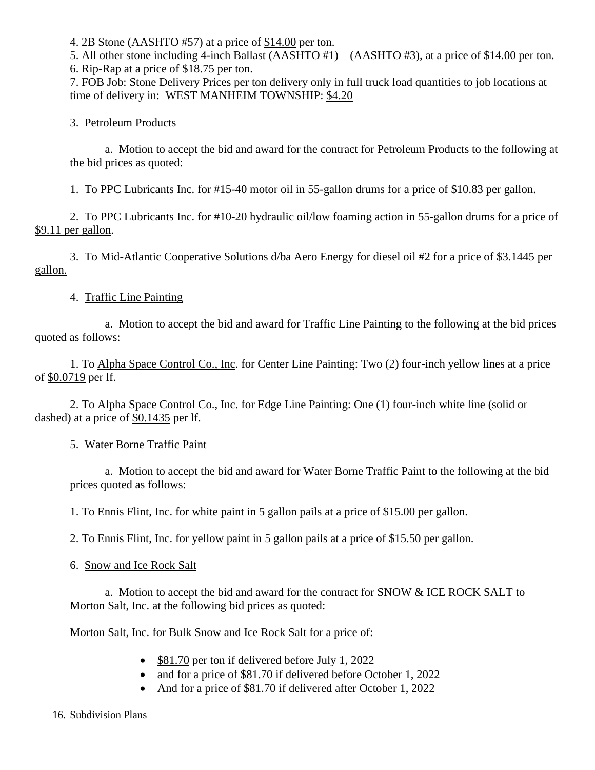4. 2B Stone (AASHTO #57) at a price of \$14.00 per ton.

5. All other stone including 4-inch Ballast (AASHTO #1) – (AASHTO #3), at a price of \$14.00 per ton. 6. Rip-Rap at a price of \$18.75 per ton.

7. FOB Job: Stone Delivery Prices per ton delivery only in full truck load quantities to job locations at time of delivery in: WEST MANHEIM TOWNSHIP: \$4.20

3. Petroleum Products

a. Motion to accept the bid and award for the contract for Petroleum Products to the following at the bid prices as quoted:

1. To PPC Lubricants Inc. for #15-40 motor oil in 55-gallon drums for a price of \$10.83 per gallon.

2. To PPC Lubricants Inc. for #10-20 hydraulic oil/low foaming action in 55-gallon drums for a price of \$9.11 per gallon.

3. To Mid-Atlantic Cooperative Solutions d/ba Aero Energy for diesel oil #2 for a price of \$3.1445 per gallon.

4. Traffic Line Painting

a. Motion to accept the bid and award for Traffic Line Painting to the following at the bid prices quoted as follows:

1. To Alpha Space Control Co., Inc. for Center Line Painting: Two (2) four-inch yellow lines at a price of \$0.0719 per lf.

2. To Alpha Space Control Co., Inc. for Edge Line Painting: One (1) four-inch white line (solid or dashed) at a price of \$0.1435 per lf.

5. Water Borne Traffic Paint

a. Motion to accept the bid and award for Water Borne Traffic Paint to the following at the bid prices quoted as follows:

1. To Ennis Flint, Inc. for white paint in 5 gallon pails at a price of \$15.00 per gallon.

2. To Ennis Flint, Inc. for yellow paint in 5 gallon pails at a price of \$15.50 per gallon.

6. Snow and Ice Rock Salt

a. Motion to accept the bid and award for the contract for SNOW & ICE ROCK SALT to Morton Salt, Inc. at the following bid prices as quoted:

Morton Salt, Inc. for Bulk Snow and Ice Rock Salt for a price of:

- \$81.70 per ton if delivered before July 1, 2022
- and for a price of \$81.70 if delivered before October 1, 2022
- And for a price of \$81.70 if delivered after October 1, 2022

16. Subdivision Plans